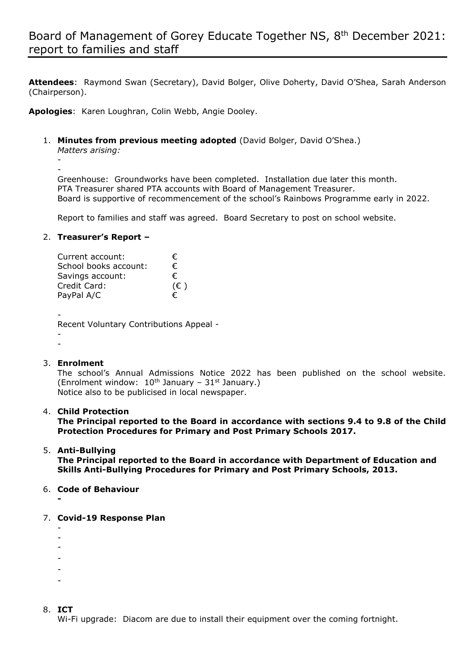**Attendees**: Raymond Swan (Secretary), David Bolger, Olive Doherty, David O'Shea, Sarah Anderson (Chairperson).

**Apologies**: Karen Loughran, Colin Webb, Angie Dooley.

1. **Minutes from previous meeting adopted** (David Bolger, David O'Shea.)

*Matters arising:*

- -

Greenhouse: Groundworks have been completed. Installation due later this month. PTA Treasurer shared PTA accounts with Board of Management Treasurer. Board is supportive of recommencement of the school's Rainbows Programme early in 2022.

Report to families and staff was agreed. Board Secretary to post on school website.

## 2. **Treasurer's Report –**

| Current account:      | €            |
|-----------------------|--------------|
| School books account: | €.           |
| Savings account:      | €            |
| Credit Card:          | $(\epsilon)$ |
| PayPal A/C            | €            |
|                       |              |

-

Recent Voluntary Contributions Appeal -

- -

## 3. **Enrolment**

The school's Annual Admissions Notice 2022 has been published on the school website. (Enrolment window:  $10^{th}$  January –  $31^{st}$  January.) Notice also to be publicised in local newspaper.

#### 4. **Child Protection**

**The Principal reported to the Board in accordance with sections 9.4 to 9.8 of the Child Protection Procedures for Primary and Post Primary Schools 2017.**

# 5. **Anti-Bullying**

**The Principal reported to the Board in accordance with Department of Education and Skills Anti-Bullying Procedures for Primary and Post Primary Schools, 2013.**

# 6. **Code of Behaviour**

**-**

## 7. **Covid-19 Response Plan**

- -
- -
- -
- -
- -
- -

# 8. **ICT**

Wi-Fi upgrade: Diacom are due to install their equipment over the coming fortnight.